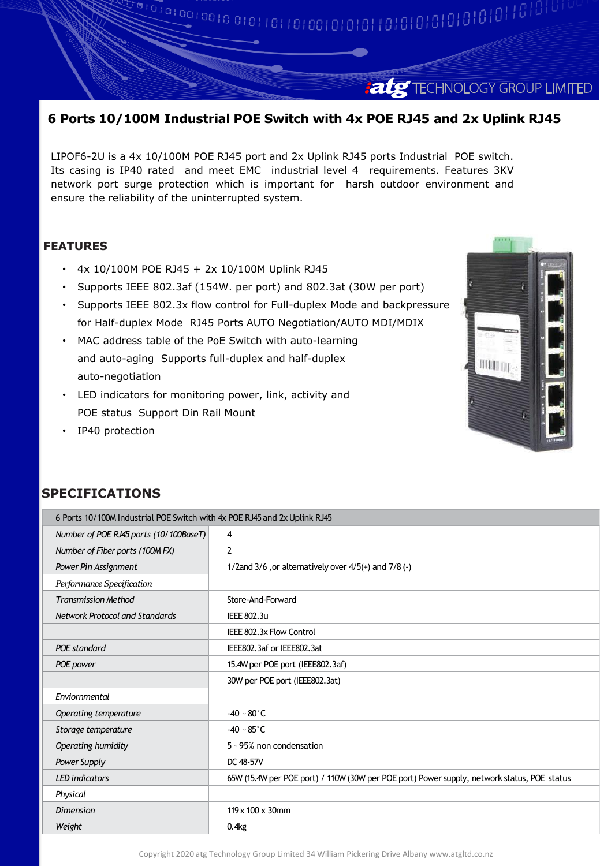## **atg** TECHNOLOGY GROUP LIMITED

## **6 Ports 10/100M Industrial POE Switch with 4x POE RJ45 and 2x Uplink RJ45**

LIPOF6-2U is a 4x 10/100M POE RJ45 port and 2x Uplink RJ45 ports Industrial POE switch. Its casing is IP40 rated and meet EMC industrial level 4 requirements. Features 3KV network port surge protection which is important for harsh outdoor environment and ensure the reliability of the uninterrupted system.

### **FEATURES**

- 4x 10/100M POE RJ45 + 2x 10/100M Uplink RJ45
- Supports IEEE 802.3af (154W. per port) and 802.3at (30W per port)
- Supports IEEE 802.3x flow control for Full-duplex Mode and backpressure for Half-duplex Mode RJ45 Ports AUTO Negotiation/AUTO MDI/MDIX
- MAC address table of the PoE Switch with auto-learning and auto-aging Supports full-duplex and half-duplex auto-negotiation
- LED indicators for monitoring power, link, activity and POE status Support Din Rail Mount
- IP40 protection



## **SPECIFICATIONS**

| 6 Ports 10/100M Industrial POE Switch with 4x POE RJ45 and 2x Uplink RJ45 |                                                                                             |
|---------------------------------------------------------------------------|---------------------------------------------------------------------------------------------|
| Number of POE RJ45 ports (10/100BaseT)                                    | 4                                                                                           |
| Number of Fiber ports (100M FX)                                           | 2                                                                                           |
| Power Pin Assignment                                                      | 1/2 and 3/6, or alternatively over $4/5$ (+) and $7/8$ (-)                                  |
| Performance Specification                                                 |                                                                                             |
| <b>Transmission Method</b>                                                | Store-And-Forward                                                                           |
| <b>Network Protocol and Standards</b>                                     | <b>IEEE 802.3u</b>                                                                          |
|                                                                           | IEEE 802.3x Flow Control                                                                    |
| POE standard                                                              | IEEE802.3af or IEEE802.3at                                                                  |
| POE power                                                                 | 15.4W per POE port (IEEE802.3af)                                                            |
|                                                                           | 30W per POE port (IEEE802.3at)                                                              |
| Enviornmental                                                             |                                                                                             |
| Operating temperature                                                     | $-40 - 80^{\circ}$ C                                                                        |
| Storage temperature                                                       | $-40 - 85^{\circ}$ C                                                                        |
| Operating humidity                                                        | 5~95% non condensation                                                                      |
| Power Supply                                                              | DC 48-57V                                                                                   |
| <b>LED</b> indicators                                                     | 65W (15.4W per POE port) / 110W (30W per POE port) Power supply, network status, POE status |
| Physical                                                                  |                                                                                             |
| <b>Dimension</b>                                                          | $119 \times 100 \times 30$ mm                                                               |
| Weight                                                                    | 0.4kg                                                                                       |

Copyright 2020 atg Technology Group Limited 34 William Pickering Drive Albany www.atgltd.co.nz